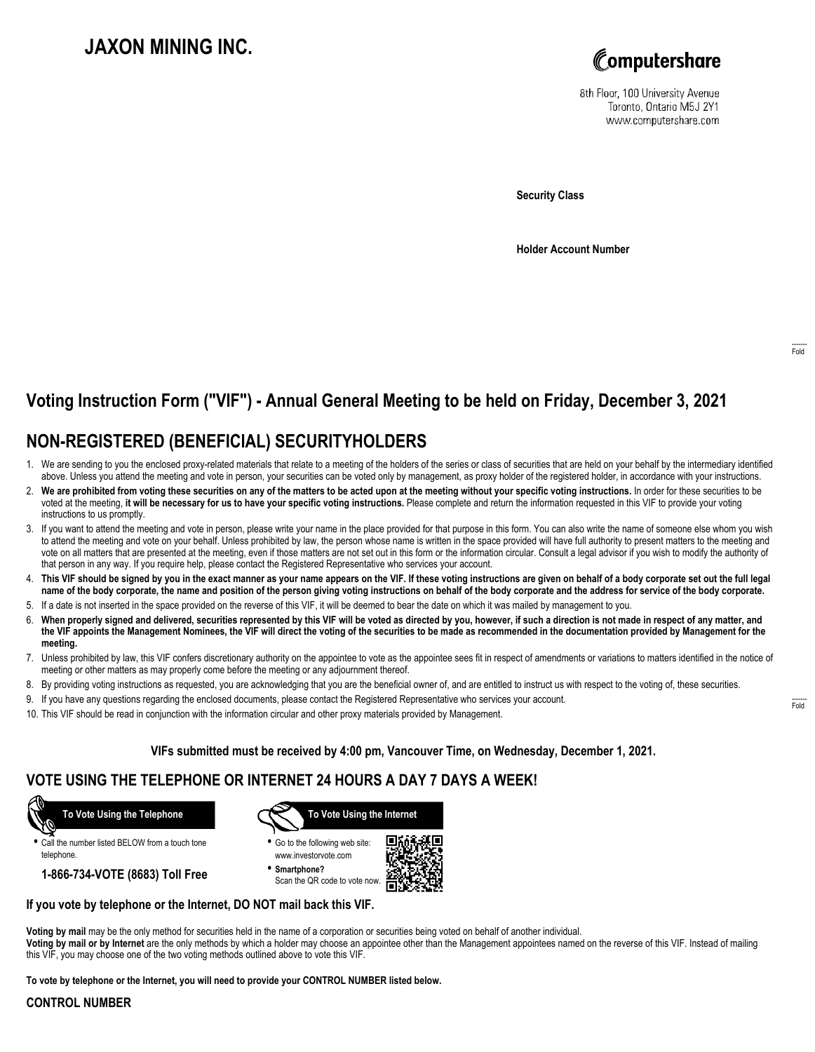# **JAXON MINING INC.**



8th Floor, 100 University Avenue Toronto, Ontario M5J 2Y1 www.computershare.com

**Security Class**

**Holder Account Number**

# **Voting Instruction Form ("VIF") - Annual General Meeting to be held on Friday, December 3, 2021**

## **NON-REGISTERED (BENEFICIAL) SECURITYHOLDERS**

- 1. We are sending to you the enclosed proxy-related materials that relate to a meeting of the holders of the series or class of securities that are held on your behalf by the intermediary identified above. Unless you attend the meeting and vote in person, your securities can be voted only by management, as proxy holder of the registered holder, in accordance with your instructions.
- 2. **We are prohibited from voting these securities on any of the matters to be acted upon at the meeting without your specific voting instructions.** In order for these securities to be voted at the meeting, **it will be necessary for us to have your specific voting instructions.** Please complete and return the information requested in this VIF to provide your voting instructions to us promptly.
- 3. If you want to attend the meeting and vote in person, please write your name in the place provided for that purpose in this form. You can also write the name of someone else whom you wish to attend the meeting and vote on your behalf. Unless prohibited by law, the person whose name is written in the space provided will have full authority to present matters to the meeting and vote on all matters that are presented at the meeting, even if those matters are not set out in this form or the information circular. Consult a legal advisor if you wish to modify the authority of that person in any way. If you require help, please contact the Registered Representative who services your account.
- 4. **This VIF should be signed by you in the exact manner as your name appears on the VIF. If these voting instructions are given on behalf of a body corporate set out the full legal name of the body corporate, the name and position of the person giving voting instructions on behalf of the body corporate and the address for service of the body corporate.**
- 5. If a date is not inserted in the space provided on the reverse of this VIF, it will be deemed to bear the date on which it was mailed by management to you.
- 6. **When properly signed and delivered, securities represented by this VIF will be voted as directed by you, however, if such a direction is not made in respect of any matter, and the VIF appoints the Management Nominees, the VIF will direct the voting of the securities to be made as recommended in the documentation provided by Management for the meeting.**
- 7. Unless prohibited by law, this VIF confers discretionary authority on the appointee to vote as the appointee sees fit in respect of amendments or variations to matters identified in the notice of meeting or other matters as may properly come before the meeting or any adjournment thereof.
- 8. By providing voting instructions as requested, you are acknowledging that you are the beneficial owner of, and are entitled to instruct us with respect to the voting of, these securities.
- 9. If you have any questions regarding the enclosed documents, please contact the Registered Representative who services your account.
- 10. This VIF should be read in conjunction with the information circular and other proxy materials provided by Management.

### **VIFs submitted must be received by 4:00 pm, Vancouver Time, on Wednesday, December 1, 2021.**

### **VOTE USING THE TELEPHONE OR INTERNET 24 HOURS A DAY 7 DAYS A WEEK!**

 **To Vote Using the Telephone**

**•** Call the number listed BELOW from a touch tone telephone.

**1-866-734-VOTE (8683) Toll Free**



**•** Go to the following web site: www.investorvote.com

**• Smartphone?** Scan the QR code to vote now.



### **If you vote by telephone or the Internet, DO NOT mail back this VIF.**

**Voting by mail** may be the only method for securities held in the name of a corporation or securities being voted on behalf of another individual.

**Voting by mail or by Internet** are the only methods by which a holder may choose an appointee other than the Management appointees named on the reverse of this VIF. Instead of mailing this VIF, you may choose one of the two voting methods outlined above to vote this VIF.

**To vote by telephone or the Internet, you will need to provide your CONTROL NUMBER listed below.**

#### **CONTROL NUMBER**